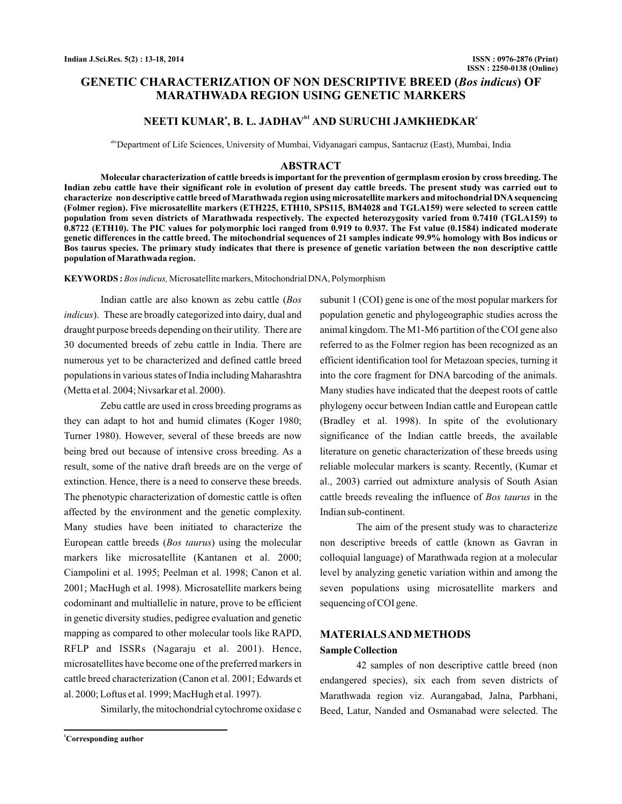# **GENETIC CHARACTERIZATION OF NON DESCRIPTIVE BREED (Bos indicus) OF MARATHWADA REGION USING GENETIC MARKERS**

## NEETI KUMAR<sup>a</sup>, B. L. JADHAV<sup>b1</sup> AND SURUCHI JAMKHEDKAR<sup>e</sup>

abcDepartment of Life Sciences, University of Mumbai, Vidyanagari campus, Santacruz (East), Mumbai, India

#### **ABSTRACT**

**Molecular characterization of cattle breeds is important for the prevention of germplasm erosion by cross breeding. The Indian zebu cattle have their significant role in evolution of present day cattle breeds. The present study was carried out to characterize non descriptive cattle breed of Marathwada region using microsatellite markers and mitochondrial DNAsequencing (Folmer region). Five microsatellite markers (ETH225, ETH10, SPS115, BM4028 and TGLA159) were selected to screen cattle population from seven districts of Marathwada respectively. The expected heterozygosity varied from 0.7410 (TGLA159) to 0.8722 (ETH10). The PIC values for polymorphic loci ranged from 0.919 to 0.937. The Fst value (0.1584) indicated moderate genetic differences in the cattle breed. The mitochondrial sequences of 21 samples indicate 99.9% homology with Bos indicus or Bos taurus species. The primary study indicates that there is presence of genetic variation between the non descriptive cattle population of Marathwada region.**

**KEYWORDS :***Bos indicus,* Microsatellite markers, Mitochondrial DNA, Polymorphism

Indian cattle are also known as zebu cattle ( *Bos* ). These are broadly categorized into dairy, dual and *indicus* draught purpose breeds depending on their utility. There are 30 documented breeds of zebu cattle in India. There are numerous yet to be characterized and defined cattle breed populations in various states of India including Maharashtra (Metta et al. 2004; Nivsarkar et al. 2000).

Zebu cattle are used in cross breeding programs as they can adapt to hot and humid climates (Koger 1980; Turner 1980). However, several of these breeds are now being bred out because of intensive cross breeding. As a result, some of the native draft breeds are on the verge of extinction. Hence, there is a need to conserve these breeds. The phenotypic characterization of domestic cattle is often affected by the environment and the genetic complexity. Many studies have been initiated to characterize the European cattle breeds (Bos taurus) using the molecular markers like microsatellite (Kantanen et al. 2000; Ciampolini et al. 1995; Peelman et al. 1998; Canon et al. 2001; MacHugh et al. 1998). Microsatellite markers being codominant and multiallelic in nature, prove to be efficient in genetic diversity studies, pedigree evaluation and genetic mapping as compared to other molecular tools like RAPD, RFLP and ISSRs (Nagaraju et al. 2001). Hence, microsatellites have become one of the preferred markers in cattle breed characterization (Canon et al. 2001; Edwards et al. 2000; Loftus et al. 1999; MacHugh et al. 1997).

Similarly, the mitochondrial cytochrome oxidase c

subunit 1 (COI) gene is one of the most popular markers for population genetic and phylogeographic studies across the animal kingdom. The M1-M6 partition of the COI gene also referred to as the Folmer region has been recognized as an efficient identification tool for Metazoan species, turning it into the core fragment for DNA barcoding of the animals. Many studies have indicated that the deepest roots of cattle phylogeny occur between Indian cattle and European cattle (Bradley et al. 1998). In spite of the evolutionary significance of the Indian cattle breeds, the available literature on genetic characterization of these breeds using reliable molecular markers is scanty. Recently, (Kumar et al., 2003) carried out admixture analysis of South Asian cattle breeds revealing the influence of Bos taurus in the Indian sub-continent.

The aim of the present study was to characterize non descriptive breeds of cattle (known as Gavran in colloquial language) of Marathwada region at a molecular level by analyzing genetic variation within and among the seven populations using microsatellite markers and sequencing of COI gene.

## **MATERIALSAND METHODS Sample Collection**

42 samples of non descriptive cattle breed (non endangered species), six each from seven districts of Marathwada region viz. Aurangabad, Jalna, Parbhani, Beed, Latur, Nanded and Osmanabad were selected. The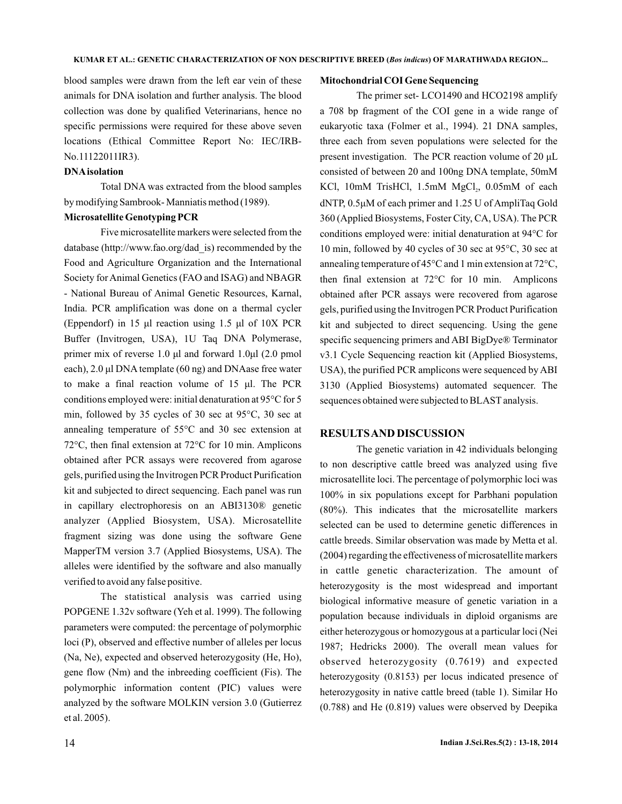blood samples were drawn from the left ear vein of these animals for DNA isolation and further analysis. The blood collection was done by qualified Veterinarians, hence no specific permissions were required for these above seven locations (Ethical Committee Report No: IEC/IRB-No.11122011IR3).

#### **DNAisolation**

Total DNA was extracted from the blood samples by modifying Sambrook- Manniatis method (1989).

### **Microsatellite Genotyping PCR**

Five microsatellite markers were selected from the database (http://www.fao.org/dad\_is) recommended by the Food and Agriculture Organization and the International Society for Animal Genetics (FAO and ISAG) and NBAGR - National Bureau of Animal Genetic Resources, Karnal, India. PCR amplification was done on a thermal cycler (Eppendorf) in 15  $\mu$ l reaction using 1.5  $\mu$ l of 10X PCR Buffer (Invitrogen, USA), 1U Taq DNA Polymerase, to make a final reaction volume of 15 μl. The PCR conditions employed were: initial denaturation at 95°C for 5 min, followed by 35 cycles of 30 sec at 95°C, 30 sec at annealing temperature of 55°C and 30 sec extension at 72°C, then final extension at 72°C for 10 min. Amplicons obtained after PCR assays were recovered from agarose gels, purified using the Invitrogen PCR Product Purification kit and subjected to direct sequencing. Each panel was run in capillary electrophoresis on an ABI3130® genetic analyzer (Applied Biosystem, USA). Microsatellite fragment sizing was done using the software Gene MapperTM version 3.7 (Applied Biosystems, USA). The alleles were identified by the software and also manually verified to avoid any false positive. primer mix of reverse 1.0 μl and forward 1.0μl (2.0 pmol each), 2.0 μl DNA template (60 ng) and DNAase free water

The statistical analysis was carried using POPGENE 1.32v software (Yeh et al. 1999). The following parameters were computed: the percentage of polymorphic loci (P), observed and effective number of alleles per locus (Na, Ne), expected and observed heterozygosity (He, Ho), gene flow (Nm) and the inbreeding coefficient (Fis). The polymorphic information content (PIC) values were analyzed by the software MOLKIN version 3.0 (Gutierrez et al. 2005).

#### **Mitochondrial COI Gene Sequencing**

The primer set- LCO1490 and HCO2198 amplify a 708 bp fragment of the COI gene in a wide range of eukaryotic taxa (Folmer et al., 1994). 21 DNA samples, three each from seven populations were selected for the present investigation. The PCR reaction volume of 20 μL consisted of between 20 and 100ng DNA template, 50mM KCl,  $10 \text{mM}$  TrisHCl,  $1.5 \text{mM}$  MgCl<sub>2</sub>,  $0.05 \text{mM}$  of each dNTP, 0.5 μM of each primer and 1.25 U of AmpliTaq Gold 360 (Applied Biosystems, Foster City, CA, USA). The PCR conditions employed were: initial denaturation at 94°C for 10 min, followed by 40 cycles of 30 sec at 95°C, 30 sec at annealing temperature of 45°C and 1 min extension at 72°C, then final extension at 72°C for 10 min. Amplicons obtained after PCR assays were recovered from agarose gels, purified using the Invitrogen PCR Product Purification kit and subjected to direct sequencing. Using the gene specific sequencing primers and ABI BigDye® Terminator v3.1 Cycle Sequencing reaction kit (Applied Biosystems, USA), the purified PCR amplicons were sequenced by ABI 3130 (Applied Biosystems) automated sequencer. The sequences obtained were subjected to BLAST analysis.

#### **RESULTSAND DISCUSSION**

The genetic variation in 42 individuals belonging to non descriptive cattle breed was analyzed using five microsatellite loci. The percentage of polymorphic loci was 100% in six populations except for Parbhani population (80%). This indicates that the microsatellite markers selected can be used to determine genetic differences in cattle breeds. Similar observation was made by Metta et al. (2004) regarding the effectiveness of microsatellite markers in cattle genetic characterization. The amount of heterozygosity is the most widespread and important biological informative measure of genetic variation in a population because individuals in diploid organisms are either heterozygous or homozygous at a particular loci (Nei 1987; Hedricks 2000). The overall mean values for observed heterozygosity (0.7619) and expected heterozygosity (0.8153) per locus indicated presence of heterozygosity in native cattle breed (table 1). Similar Ho (0.788) and He (0.819) values were observed by Deepika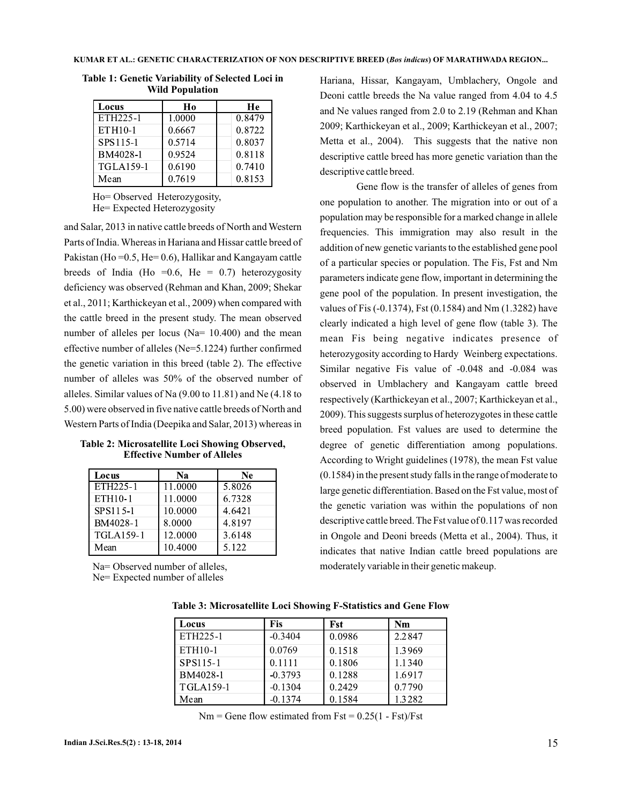| Locus            | Ho     | He     |
|------------------|--------|--------|
| ETH225-1         | 1.0000 | 0.8479 |
| ETH10-1          | 0.6667 | 0.8722 |
| SPS115-1         | 0.5714 | 0.8037 |
| BM4028-1         | 0.9524 | 0.8118 |
| <b>TGLA159-1</b> | 0.6190 | 0.7410 |
| Mean             | 0.7619 | 0.8153 |

**Table 1: Genetic Variability of Selected Loci in Wild Population**

Ho= Observed Heterozygosity, He= Expected Heterozygosity

and Salar, 2013 in native cattle breeds of North and Western Parts of India.Whereas in Hariana and Hissar cattle breed of Pakistan (Ho =  $0.5$ , He =  $0.6$ ), Hallikar and Kangayam cattle breeds of India (Ho = 0.6, He = 0.7) heterozygosity deficiency was observed (Rehman and Khan, 2009; Shekar et al., 2011; Karthickeyan et al., 2009) when compared with the cattle breed in the present study. The mean observed number of alleles per locus (Na= 10.400) and the mean effective number of alleles (Ne=5.1224) further confirmed the genetic variation in this breed (table 2). The effective number of alleles was 50% of the observed number of alleles. Similar values of Na (9.00 to 11.81) and Ne (4.18 to 5.00) were observed in five native cattle breeds of North and Western Parts of India (Deepika and Salar, 2013) whereas in

**Table 2: Microsatellite Loci Showing Observed, Effective Number of Alleles**

| Locus            | N <sub>2</sub> | <b>Ne</b> |
|------------------|----------------|-----------|
| ETH225-1         | 11.0000        | 5.8026    |
| ETH10-1          | 11.0000        | 6.7328    |
| SPS115-1         | 10.0000        | 4.6421    |
| BM4028-1         | 8.0000         | 4.8197    |
| <b>TGLA159-1</b> | 12.0000        | 3.6148    |
| Mean             | 10.4000        | 5.122     |

Na= Observed number of alleles. Ne= Expected number of alleles

Hariana, Hissar, Kangayam, Umblachery, Ongole and Deoni cattle breeds the Na value ranged from 4.04 to 4.5 and Ne values ranged from 2.0 to 2.19 (Rehman and Khan 2009; Karthickeyan et al., 2009; Karthickeyan et al., 2007; Metta et al., 2004). This suggests that the native non descriptive cattle breed has more genetic variation than the descriptive cattle breed.

Gene flow is the transfer of alleles of genes from one population to another. The migration into or out of a population may be responsible for a marked change in allele frequencies. This immigration may also result in the addition of new genetic variants to the established gene pool of a particular species or population. The Fis, Fst and Nm parameters indicate gene flow, important in determining the gene pool of the population. In present investigation, the values of Fis (-0.1374), Fst (0.1584) and Nm (1.3282) have clearly indicated a high level of gene flow (table 3). The mean Fis being negative indicates presence of heterozygosity according to Hardy Weinberg expectations. Similar negative Fis value of -0.048 and -0.084 was observed in Umblachery and Kangayam cattle breed respectively (Karthickeyan et al., 2007; Karthickeyan et al., 2009). This suggests surplus of heterozygotes in these cattle breed population. Fst values are used to determine the degree of genetic differentiation among populations. According to Wright guidelines (1978), the mean Fst value (0.1584) in the present study falls in the range of moderate to large genetic differentiation. Based on the Fst value, most of the genetic variation was within the populations of non descriptive cattle breed. The Fst value of 0.117 was recorded in Ongole and Deoni breeds (Metta et al., 2004). Thus, it indicates that native Indian cattle breed populations are moderately variable in their genetic makeup.

| Locus       | Fis       | <b>Fst</b> | Nm     |
|-------------|-----------|------------|--------|
| ETH225-1    | $-0.3404$ | 0.0986     | 2.2847 |
| ETH10-1     | 0.0769    | 0.1518     | 1.3969 |
| SPS115-1    | 0.1111    | 0.1806     | 1.1340 |
| BM4028-1    | $-0.3793$ | 0.1288     | 1.6917 |
| $TGLA159-1$ | $-0.1304$ | 0.2429     | 0.7790 |
| Mean        | $-0.1374$ | 0.1584     | 1.3282 |

 $Nm =$  Gene flow estimated from Fst = 0.25(1 - Fst)/Fst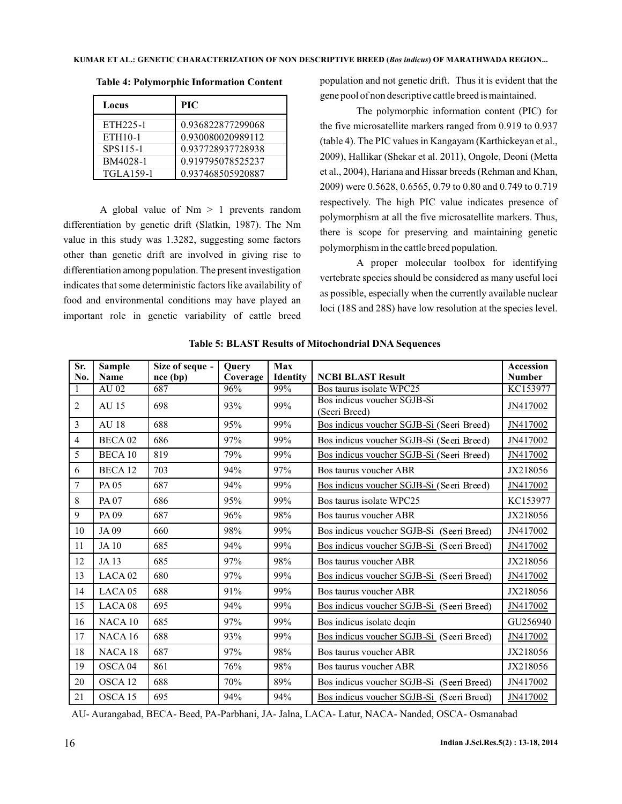| Locus                | <b>PIC</b>        |
|----------------------|-------------------|
| ETH <sub>225-1</sub> | 0.936822877299068 |
| ETH10-1              | 0.930080020989112 |
| SPS115-1             | 0.937728937728938 |
| BM4028-1             | 0.919795078525237 |
| <b>TGLA159-1</b>     | 0.937468505920887 |

**Table 4: Polymorphic Information Content**

A global value of  $Nm > 1$  prevents random differentiation by genetic drift (Slatkin, 1987). The Nm value in this study was 1.3282, suggesting some factors other than genetic drift are involved in giving rise to differentiation among population. The present investigation indicates that some deterministic factors like availability of food and environmental conditions may have played an important role in genetic variability of cattle breed

population and not genetic drift. Thus it is evident that the gene pool of non descriptive cattle breed is maintained.

The polymorphic information content (PIC) for the five microsatellite markers ranged from 0.919 to 0.937 (table 4). The PIC values in Kangayam (Karthickeyan et al., 2009), Hallikar (Shekar et al. 2011), Ongole, Deoni (Metta et al., 2004), Hariana and Hissar breeds (Rehman and Khan, 2009) were 0.5628, 0.6565, 0.79 to 0.80 and 0.749 to 0.719 respectively. The high PIC value indicates presence of polymorphism at all the five microsatellite markers. Thus, there is scope for preserving and maintaining genetic polymorphism in the cattle breed population.

A proper molecular toolbox for identifying vertebrate species should be considered as many useful loci as possible, especially when the currently available nuclear loci (18S and 28S) have low resolution at the species level.

| Sr.<br>No.     | <b>Sample</b><br>Name | Size of seque -<br>nce (bp) | Query<br>Coverage | <b>Max</b><br><b>Identity</b> | <b>NCBI BLAST Result</b>                     | Accession<br><b>Number</b> |
|----------------|-----------------------|-----------------------------|-------------------|-------------------------------|----------------------------------------------|----------------------------|
| 1              | AU 02                 | 687                         | 96%               | 99%                           | Bos taurus isolate WPC25                     | KC153977                   |
| 2              | <b>AU 15</b>          | 698                         | 93%               | 99%                           | Bos indicus voucher SGJB-Si<br>(Seeri Breed) | JN417002                   |
| 3              | <b>AU 18</b>          | 688                         | 95%               | 99%                           | Bos indicus voucher SGJB-Si (Seeri Breed)    | JN417002                   |
| $\overline{4}$ | BECA <sub>02</sub>    | 686                         | 97%               | 99%                           | Bos indicus voucher SGJB-Si (Seeri Breed)    | JN417002                   |
| 5              | <b>BECA10</b>         | 819                         | 79%               | 99%                           | Bos indicus voucher SGJB-Si (Seeri Breed)    | JN417002                   |
| 6              | <b>BECA12</b>         | 703                         | 94%               | 97%                           | Bos taurus voucher ABR                       | JX218056                   |
| 7              | PA 05                 | 687                         | 94%               | 99%                           | Bos indicus voucher SGJB-Si (Seeri Breed)    | JN417002                   |
| 8              | PA 07                 | 686                         | 95%               | 99%                           | Bos taurus isolate WPC25                     | KC153977                   |
| 9              | PA <sub>09</sub>      | 687                         | 96%               | 98%                           | Bos taurus voucher ABR                       | JX218056                   |
| 10             | JA 09                 | 660                         | 98%               | 99%                           | Bos indicus voucher SGJB-Si (Seeri Breed)    | JN417002                   |
| 11             | <b>JA10</b>           | 685                         | 94%               | 99%                           | Bos indicus voucher SGJB-Si (Seeri Breed)    | JN417002                   |
| 12             | JA 13                 | 685                         | 97%               | 98%                           | Bos taurus voucher ABR                       | JX218056                   |
| 13             | LACA <sub>02</sub>    | 680                         | 97%               | 99%                           | Bos indicus voucher SGJB-Si (Seeri Breed)    | JN417002                   |
| 14             | $LACA$ 05             | 688                         | 91%               | 99%                           | Bos taurus voucher ABR                       | JX218056                   |
| 15             | LACA <sub>08</sub>    | 695                         | 94%               | 99%                           | Bos indicus voucher SGJB-Si (Seeri Breed)    | JN417002                   |
| 16             | NACA <sub>10</sub>    | 685                         | 97%               | 99%                           | Bos indicus isolate degin                    | GU256940                   |
| 17             | NACA <sub>16</sub>    | 688                         | 93%               | 99%                           | Bos indicus voucher SGJB-Si (Seeri Breed)    | JN417002                   |
| 18             | NACA 18               | 687                         | 97%               | 98%                           | Bos taurus voucher ABR                       | JX218056                   |
| 19             | OSCA <sub>04</sub>    | 861                         | 76%               | 98%                           | Bos taurus voucher ABR                       | JX218056                   |
| 20             | OSCA <sub>12</sub>    | 688                         | 70%               | 89%                           | Bos indicus voucher SGJB-Si (Seeri Breed)    | JN417002                   |
| 21             | OSCA <sub>15</sub>    | 695                         | 94%               | 94%                           | Bos indicus voucher SGJB-Si (Seeri Breed)    | JN417002                   |

**Table 5: BLAST Results of Mitochondrial DNA Sequences**

AU- Aurangabad, BECA- Beed, PA-Parbhani, JA- Jalna, LACA- Latur, NACA- Nanded, OSCA- Osmanabad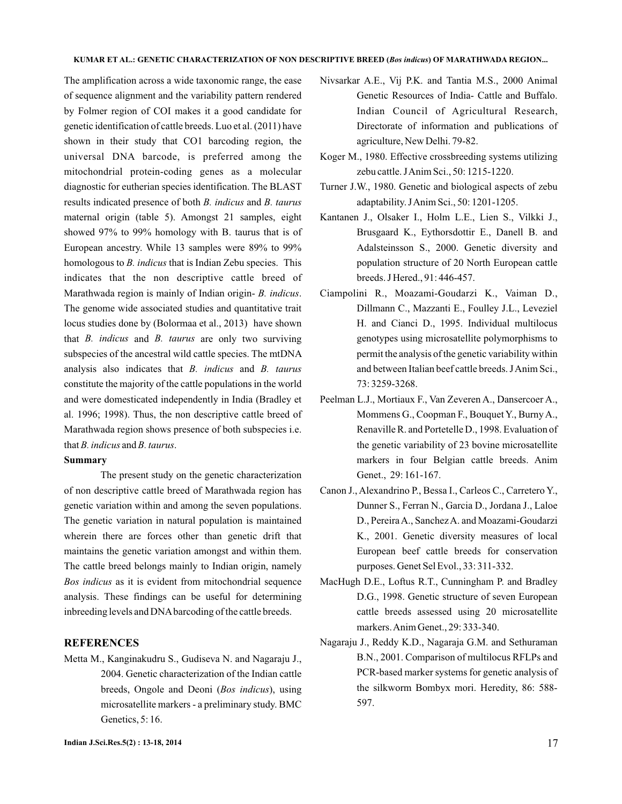#### KUMAR ET AL.: GENETIC CHARACTERIZATION OF NON DESCRIPTIVE BREED (Bos indicus) OF MARATHWADA REGION...

The amplification across a wide taxonomic range, the ease of sequence alignment and the variability pattern rendered by Folmer region of COI makes it a good candidate for genetic identification of cattle breeds. Luo et al. (2011) have shown in their study that CO1 barcoding region, the universal DNA barcode, is preferred among the mitochondrial protein-coding genes as a molecular diagnostic for eutherian species identification. The BLAST results indicated presence of both B. indicus and B. taurus maternal origin (table 5). Amongst 21 samples, eight showed 97% to 99% homology with B. taurus that is of European ancestry. While 13 samples were 89% to 99% homologous to *B. indicus* that is Indian Zebu species. This indicates that the non descriptive cattle breed of Marathwada region is mainly of Indian origin- B. indicus. The genome wide associated studies and quantitative trait locus studies done by (Bolormaa et al., 2013) have shown that *B. indicus* and *B. taurus* are only two surviving subspecies of the ancestral wild cattle species. The mtDNA analysis also indicates that *B. indicus* and *B. taurus* constitute the majority of the cattle populations in the world and were domesticated independently in India (Bradley et al. 1996; 1998). Thus, the non descriptive cattle breed of Marathwada region shows presence of both subspecies i.e. that *B. indicus* and *B. taurus*.

#### **Summary**

The present study on the genetic characterization of non descriptive cattle breed of Marathwada region has genetic variation within and among the seven populations. The genetic variation in natural population is maintained wherein there are forces other than genetic drift that maintains the genetic variation amongst and within them. The cattle breed belongs mainly to Indian origin, namely Bos indicus as it is evident from mitochondrial sequence analysis. These findings can be useful for determining inbreeding levels and DNAbarcoding of the cattle breeds.

### **REFERENCES**

Metta M., Kanginakudru S., Gudiseva N. and Nagaraju J., 2004. Genetic characterization of the Indian cattle breeds, Ongole and Deoni (Bos indicus), using microsatellite markers - a preliminary study. BMC Genetics, 5: 16.

- Nivsarkar A.E., Vij P.K. and Tantia M.S., 2000 Animal Genetic Resources of India- Cattle and Buffalo. Indian Council of Agricultural Research, Directorate of information and publications of agriculture, New Delhi. 79-82.
- Koger M., 1980. Effective crossbreeding systems utilizing zebu cattle. JAnim Sci., 50: 1215-1220.
- Turner J.W., 1980. Genetic and biological aspects of zebu adaptability. JAnim Sci., 50: 1201-1205.
- Kantanen J., Olsaker I., Holm L.E., Lien S., Vilkki J., Brusgaard K., Eythorsdottir E., Danell B. and Adalsteinsson S., 2000. Genetic diversity and population structure of 20 North European cattle breeds. J Hered., 91: 446-457.
- Ciampolini R., Moazami-Goudarzi K., Vaiman D., Dillmann C., Mazzanti E., Foulley J.L., Leveziel H. and Cianci D., 1995. Individual multilocus genotypes using microsatellite polymorphisms to permit the analysis of the genetic variability within and between Italian beef cattle breeds. JAnim Sci., 73: 3259-3268.
- Peelman L.J., Mortiaux F., Van Zeveren A., Dansercoer A., Mommens G., Coopman F., Bouquet Y., Burny A., Renaville R. and Portetelle D., 1998. Evaluation of the genetic variability of 23 bovine microsatellite markers in four Belgian cattle breeds. Anim Genet., 29: 161-167.
- Canon J., Alexandrino P., Bessa I., Carleos C., Carretero Y., Dunner S., Ferran N., Garcia D., Jordana J., Laloe D., PereiraA., SanchezA. and Moazami-Goudarzi K., 2001. Genetic diversity measures of local European beef cattle breeds for conservation purposes. Genet Sel Evol., 33: 311-332.
- MacHugh D.E., Loftus R.T., Cunningham P. and Bradley D.G., 1998. Genetic structure of seven European cattle breeds assessed using 20 microsatellite markers.Anim Genet., 29: 333-340.
- Nagaraju J., Reddy K.D., Nagaraja G.M. and Sethuraman B.N., 2001. Comparison of multilocus RFLPs and PCR-based marker systems for genetic analysis of the silkworm Bombyx mori. Heredity, 86: 588- 597.